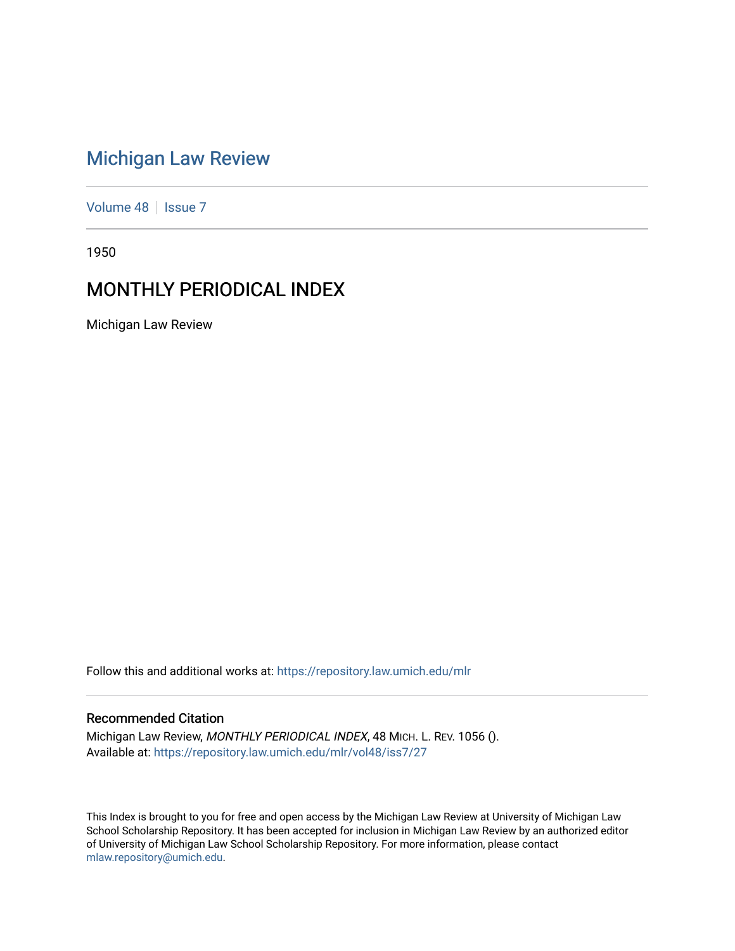# [Michigan Law Review](https://repository.law.umich.edu/mlr)

[Volume 48](https://repository.law.umich.edu/mlr/vol48) | [Issue 7](https://repository.law.umich.edu/mlr/vol48/iss7)

1950

# MONTHLY PERIODICAL INDEX

Michigan Law Review

Follow this and additional works at: [https://repository.law.umich.edu/mlr](https://repository.law.umich.edu/mlr?utm_source=repository.law.umich.edu%2Fmlr%2Fvol48%2Fiss7%2F27&utm_medium=PDF&utm_campaign=PDFCoverPages) 

# Recommended Citation

Michigan Law Review, MONTHLY PERIODICAL INDEX, 48 MICH. L. REV. 1056 (). Available at: [https://repository.law.umich.edu/mlr/vol48/iss7/27](https://repository.law.umich.edu/mlr/vol48/iss7/27?utm_source=repository.law.umich.edu%2Fmlr%2Fvol48%2Fiss7%2F27&utm_medium=PDF&utm_campaign=PDFCoverPages) 

This Index is brought to you for free and open access by the Michigan Law Review at University of Michigan Law School Scholarship Repository. It has been accepted for inclusion in Michigan Law Review by an authorized editor of University of Michigan Law School Scholarship Repository. For more information, please contact [mlaw.repository@umich.edu.](mailto:mlaw.repository@umich.edu)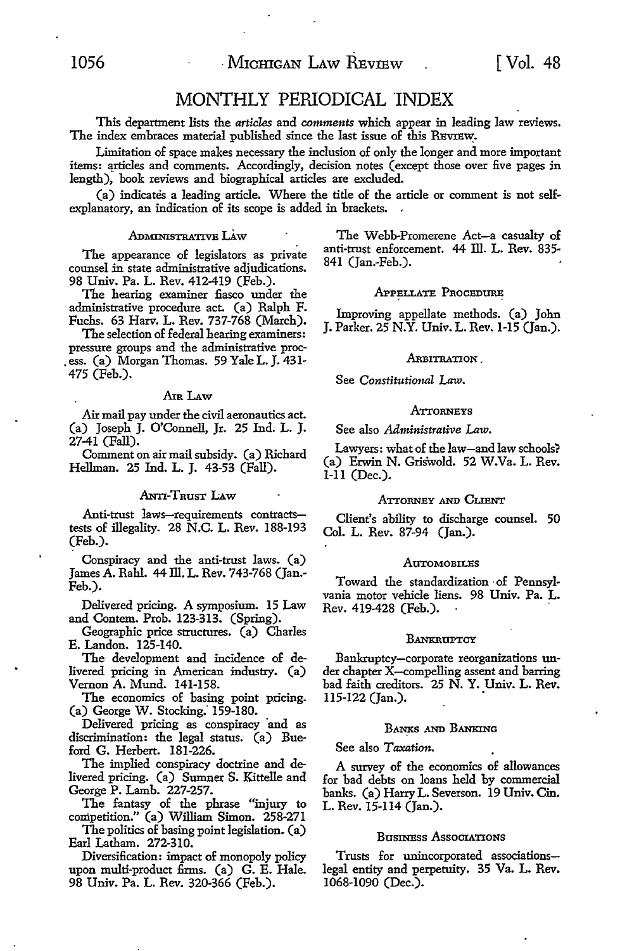# MONTHLY PERIODICAL INDEX

This department lists the *articles* and *comments* which appear in leading law reviews. The index embraces material published since the last issue of this REVIEW.

Limitation of space makes necessary the inclusion of only the longer and more :important items: articles and comments. Accordingly, decision notes (except those over five pages in length), book reviews and biographical articles are excluded.

(a) indicates a leading article. Where the title of the article or comment is not selfexplanatory, an indication of its scope is added in brackets.

#### ADMINISTRATIVE LAW

The appearance of legislators as private counsel in state administrative adjudications. 98 Univ. Pa. L. Rev. 412-419 (Feb.).

The hearing examiner fiasco under the administrative procedure act. (a) Ralph F. Fuchs. 63 Harv. L. Rev. 737-768 (March).

The selection of federal hearing examiners: pressure groups and the administrative proc- . ess. (a) Morgan Thomas. 59 Yale L. J. 431- 475 (Feb.).

#### AIR LAW

Air mail pay under the civil aeronautics act. (a) Joseph J. O'Connell, Jr. 25 Ind. L. J. 27-41 (Fall).

Comment on air mail subsidy. (a) Richard Hellman. 25 Ind. L. J. 43-53 (Fall).

#### **ANTI-TRUST LAW**

Anti-trust laws-requirements contractstests of illegality. 28 N.C. L. Rev. 188-193 (Feb.).

Conspiracy and the anti-trust laws. (a) James A. Rahl. 44 Ill. L. Rev. 743-768 (Jan.-Feb.).

Delivered pricing. A symposium. 15 Law and Contem. Prob. 123-313. (Spring).

Geographic price structures. (a) Charles E. Landon. 125-140.

The development and incidence of delivered pricing in American industry. (a) Vernon A. Mund. 141-158.

The economics of basing point pricing. (a) George **W.** Stocking: 159-180.

Delivered pricing as conspiracy and as discrimination: the legal status. (a) Bueford G. Herbert. 181-226.

The implied conspiracy doctrine and delivered pricing. (a) Sumner S. Kittelle and George P. Lamb. 227-257.

The fantasy of the phrase "injury to competition." (a) William Simon. 258-271

The politics of basing point legislation. (a) Earl Latham. 272-310.

Diversification: impact of monopoly policy upon multi-product firms. (a) G. E. Hale. 98 Univ. Pa. L. Rev. 320-366 (Feb.).

The Webb-Promerene Act-a casualty of anti-trust enforcement. 44 ill. L. Rev. 835- 841 (Jan.-Feb.).

# .APPELLATE PROCEDURE

Improving appellate methods. (a) John J. Parker. 25 N.Y. Univ. L. Rev. 1-15 (Jan.).

# ARBITRATION .

See *Constitutional* Law .

#### **ATTORNEYS**

#### See also *Administrative Law.*

Lawyers: what of the law-and law schools? (a) Erwin N. Griswold. 52 W.Va. L. Rev. 1-11 (Dec.).

#### ATTORNEY AND CLIENT

Client's ability to discharge counsel. 50 Col. L. Rev. 87-94 (Jan.).

#### **AUTOMOBILES**

Toward the standardization · of Pennsylvania motor vehicle liens. 98 Univ. Pa. L. Rev. 419-428 (Feb.).

#### **BANKRUPTCY**

Bankruptcy-corporate reorganizations under chapter X-compelling assent and barring bad faith creditors. 25 N. Y. Univ. L. Rev. 115-122 (Jan.).

#### BANKS AND BANKING

See also *Taxation.* 

A sw:vey of the economics of allowances for bad debts on loans held by commercial banks. (a) Harry L. Severson. 19 Univ. Cin. L. Rev. 15-114 (Jan.).

# BusINESS AssoCIATIONS

Trusts for unincorporated associationslegal entity and perpetuity. 35 Va. L. Rev. 1068-1090 (Dec.).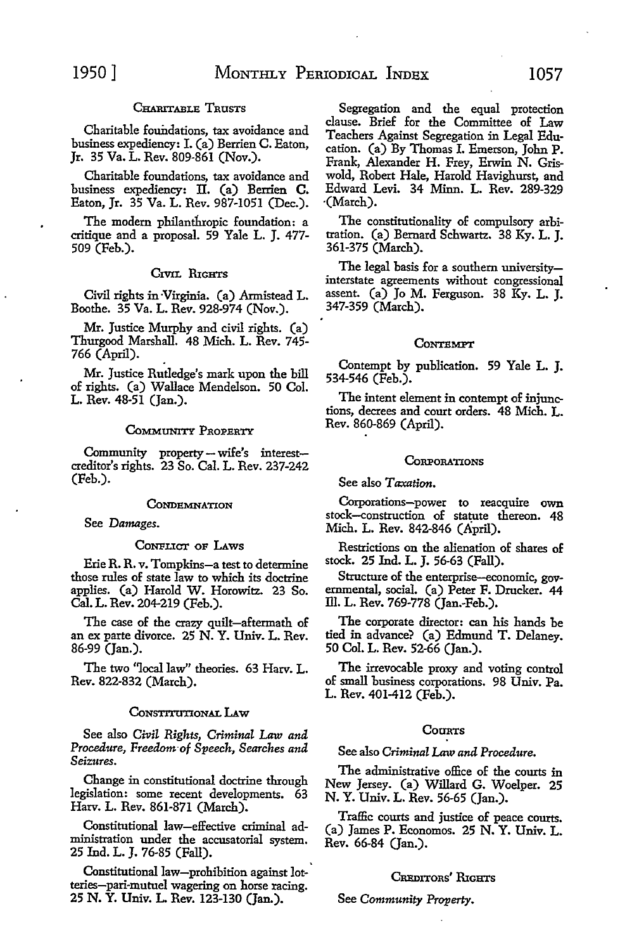# CHARITABLE TRUSTS

Charitable foundations, tax avoidance and business expediency: I. (a) Berrien **C.** Eaton, Jr. 35 Va. L. Rev. 809-861 (Nov.).

Charitable foundations, tax avoidance and business expediency: II. (a) Berrien **C.**  Eaton, Jr. 35 Va. L. Rev. 987-1051 (Dec.).

The modem philanthropic foundation: a critique and a proposal. 59 Yale L. J. 477- 509 (Feb.).

# CIVIL RIGHTS

Civil rights in -Virginia. (a) Armistead L. Boothe. 35 Va. L. Rev. 928-974 (Nov.).

Mr. Justice Murphy and civil rights. (a) Thurgood Marshall. 48 Mich. L. Rev. 745- 766 (April).

**Mr.** Justice Rutledge's mark upon the bill of rights. (a) Wallace Mendelson. 50 Col. L. Rev. 48-51 (Jan.).

#### CoMMUNITY PROPERTY

Community property-wife's interestcreditor's rights. 23 So. Cal. L. Rev. 237-242 (Feb.).

#### **CONDEMNATION**

See *Damages.* 

#### CoNFLICT OF LAws

Erie R.R. *v.* Tompkins-a test to determine those rules of state law to which its doctrine applies. (a) Harold W. Horowitz. 23 So. Cal. L. Rev. 204-219 (Feb.).

The case of the crazy quilt-aftermath of an ex parte divorce. 25 N. Y. Univ. L. Rev. 86-99 (Jan.).

The two "local law" theories. 63 Harv. L. Rev. 822-832 (March).

# CoNSTITUnONAL LAw

See also *Civil Rights, Criminal Law and Procedure, Freedom-of Speech, Searches and Seizures.* 

Change in constitutional doctrine through legislation: some recent developments. 63 Harv. L. Rev. 861-871 (March).

Constitutional law-effective criminal administration under the accusatorial system. 25 Ind. L. J. 76-85 (Fall).

Constitutional law-prohibition against lot-' teries-pari-mutuel wagering on horse racing. 25 **N. Y.** Univ. L. Rev. 123-130 (Jan.).

Segregation and the equal protection clause. Brief for the Committee of Law Teachers Against Segregation in Legal Education. (a) By Thomas I. Emerson, John P. Frank, Alexander **H.** Frey, Erwin N. Griswold, Robert Hale, Harold Havighurst, and Edward Levi. 34 Minn. L. Rev. 289-329 {March).

The constitutionality of compulsory arbitration. (a) Bernard Schwartz. 38 Ky. L. J. 361-375 (March).

The legal basis for a southern universityinterstate agreements without congressional assent. (a) Jo M. Ferguson. 38 Ky. L. J. 347-359 (March).

# **CONTEMPT**

Contempt by publication. 59 Yale L. J. 534-546 (Feb.).

The intent element in contempt of injunctions, decrees and court orders. 48 Mich. L. Rev. 860-869 (April).

# **CORPORATIONS**

See also *Taxation.* 

Corporations-power to reacquire own stock-construction of statute thereon. 48 Mich. L. Rev. 842-846 (April).

Restrictions on the alienation of shares of stock. 25 Ind. L. J. 56-63 (Fall).

Structure of the enterprise-economic, governmental, social. (a) Peter F. Drucker. 44 Ill. L. Rev. 769-778 (Jan.-Feb.).

The corporate director: can his hands be tied in advance? (a) Edmund T. Delaney. 50 Col. L. Rev. 52-66 (Jan.).

The irrevocable proxy and voting control of small business corporations. 98 Univ. Pa. L. Rev. 401-412 (Feb.).

# COURTS

# See also *Criminal* Law *and Procedure.*

The administrative office of the courts in New Jersey. (a) Willard G. Woelper. 25 N. Y. Univ. L. Rev. 56-65 (Jan.).

Traffic courts and justice of peace courts. (a) James P. Economos. 25 N. Y. Univ. L. Rev. 66-84 (Jan.).

# CREDITORS' RIGHTS

See *Community Property.*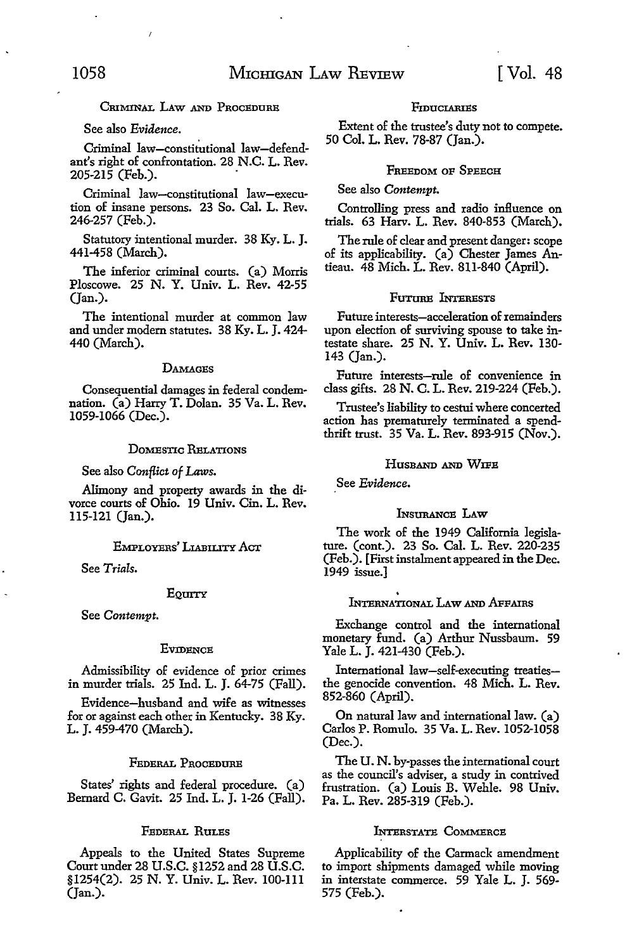# CRIMINAL LAW AND PROCEDURE

# See also *Evidence.*

Criminal law-constitutional law-defendant's right of confrontation. 28 N.C. L. Rev. 205-215 (Feb.).

Criminal law-constitutional law-execution of insane persons. 23 So. Cal. L. Rev. 246-257 (Feb.).

Statutory intentional murder. 38 Ky. L. J. 441-458 (March).

The inferior criminal courts. (a) Morris Ploscowe. 25 N. Y. Univ. L. Rev. 42-55  $(Tan.)$ .

The intentional murder at common law and under modem statutes. 38 Ky. L. J. 424- 440 (March).

#### **DAMAGES**

Consequential damages in federal condemnation. (a) Harry T. Dolan. 35 Va. L. Rev. 1059-1066 (Dec.).

# DOMESTIC RELATIONS

See also *Conflict of Laws*.

Alimony and property awards in the divorce courts of Ohio. 19 Univ. Cin. L. Rev. 115-121 (Jan.).

# EMPLOYERS' LIABILITY ACT

See *Trials.* 

#### EQUITY

See *Contempt.* 

# **EVIDENCE**

Admissibility of evidence of prior crimes in murder trials. 25 Ind. L. J. 64-75 (Fall).

Evidence-husband and wife as witnesses for or against each other in Kentucky. 38 Ky. L. J. 459-470 (March).

# FEDERAL PROCEDURE

States' rights and federal procedure. (a) Bernard C. Gavit. 25 Ind. L. J. 1-26 (Fall).

# FEDERAL RULES

Appeals to the United States Supreme Court under 28 U.S.C. §1252 and 28 U.S.C. §1254(2). 25 N. Y. Univ. L. Rev. 100-111 (Jan.).

#### **FIDUCIARIES**

Extent of the trustee's duty not to compete. 50 Col. L. Rev. 78-87 (Jan.).

# FREEDOM OF SPEECH

See also *Contempt.* 

Controlling press and radio influence on trials. 63 Harv. L. Rev. 840-853 (March).

The rule of clear and present danger: scope of its applicability. (a) Chester James Antieau. 48 Mich. L. Rev. 811-840 (April).

#### FUTURE **LYTERESTS**

Future interests-acceleration of remainders upon election of surviving spouse to take intestate share. 25 N. Y. Univ. L. Rev. 130- 143 (Jan.).

Future interests-rule of convenience in class gifts. 28 N. C. L. Rev. 219-224 (Feb.).

Trustee's liability to cestui where concerted action has prematurely terminated a spendthrift trust. 35 Va. L. Rev. 893-915 (Nov.).

# HUSBAND AND WIFE

See *Evidence.* 

#### INSURANCE LAw

The work of the 1949 California legislature. (cont.). 23 So. Cal. L. Rev. 220-235 (Feb.). [First instalment appeared in the Dec. 1949 issue.]

#### . INTERNATIONAL LAw AND AFFAIRS

Exchange control and the international monetary fund. (a) Arthur Nussbaum. 59 Yale L. J. 421-430 (Feb.).

International law-self-executing treatiesthe genocide convention. 48 Mich. L. Rev. 852-860 (April).

On natural law and international law. (a) Carlos P. Romulo. 35 Va. L. Rev. 1052-1058 (Dec.).

The U. N. by-passes the international court as the council's adviser, a study in contrived frustration. (a) Louis B. Wehle. 98 Univ. Pa. L. Rev. 285-319 (Feb.).

# INTERSTATE COMMERCE

Applicability of the Carmack amendment to import shipments damaged while moving in interstate commerce. 59 Yale L. J. 569- 575 (Feb.).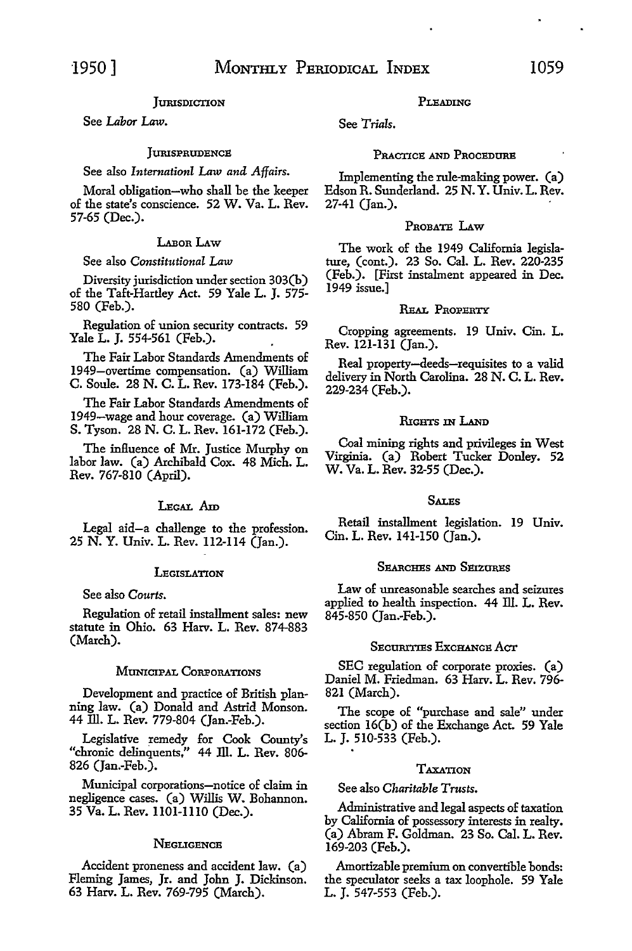# **JURISDICTION**

See *Labor Law.* 

# **JURISPRUDENCE**

# See also *Internationl Law and Affairs.*

Moral obligation-who shall be the keeper of the state's conscience. 52 W. Va. L. Rev. 57-65 (Dec.).

# LAROR LAW

# See also *Constitutional* Law

Diversity jurisdiction under section 303(b) of the Taft-Hartley Act. 59 Yale L. J. 575- 580 (Feb.).

Regulation of union security contracts. 59 Yale L. J. 554-561 (Feb.).

The Fair Labor Standards Amendments of 1949-overtime compensation. (a) William C. Soule. 28 **N. C.** L. Rev. 173-184 (Feb.).

The Fair Labor Standards Amendments of 1949-wage and hour coverage. (a) William **S.** Tyson. 28 N. C. L. Rev. 161-172 (Feb.).

The influence of Mr. Justice Murphy on labor law. (a) Archibald Cox. 48 Mich. L. Rev. 767-810 (April).

# LEGAL Am

Legal aid-a challenge to the profession. 25 N. Y. Univ. L. Rev. 112-114 (Jan.).

# **LEGISLATION**

# See also *Courts.*

Regulation of retail installment sales: new statute in Ohio. 63 Harv. L. Rev. 874-883 (March).

# MUNICIPAL CORPORATIONS

Development and practice of British planning law. (a) Donald and Astrid Monson. 44 ill. L. Rev. 779-804 (Jan.-Feb.).

Legislative remedy for Cook County's "chronic delinquents," 44 ill. L. Rev. 806- 826 (Jan.-Feb.).

Municipal corporations-notice of claim in negligence cases. (a) Willis W. Bohannon. 35 Va. L. Rev. 1101-1110 (Dec.).

# **NEGLIGENCE**

Accident proneness and accident law. (a) Fleming James, Jr. and John J. Dickinson. 63 Harv. L. Rev. 769-795 (March).

#### PLEADING

See *Trials.* 

#### PRACTICE AND PROCEDURE

Implementing the rule-making power. (a) Edson R. Sunderland. 25 N. Y. Univ. L. Rev. 27-41 (Jan.).

# PROBATE LAw

The work of the 1949 California legislature, (cont.). 23 So. Cal. L. Rev. 220-235 (Feb.). [First instalment appeared in Dec. 1949 issue.]

# REAL PROPERTY

Cropping agreements. 19 Univ. Cin. L. Rev. 121-131 (Jan.).

Real property-deeds-requisites to a valid delivery in North Carolina. 28 N. C. L. Rev. 229-234 (Feb.).

#### RIGHTS IN LAND

Coal mining rights and privileges in West Virginia. (a) Robert Tucker Donley. 52 W. Va. L. Rev. 32-55 (Dec.).

#### SALES

Retail installment legislation. 19 Univ. Cin. L. Rev. 141-150 (Jan.).

# SEARCHES AND SEIZURES

Law of unreasonable searches and seizures applied to health inspection. 44 ill. L. Rev. 845-850 (Jan.-Feb.).

#### Securities Exchange Act

SEC regulation of corporate proxies. (a) Daniel M. Friedman. 63 Harv. L. Rev. 796- 821 (March).

The scope of "purchase and sale" under section 16(b) of the Exchange Act. 59 Yale L. J. 510-533 (Feb.).

# TAXATION

# See also *Charitable Trusts.*

Administrative and legal aspects of taxation by California of possessory interests in realty. (a) Abram F. Goldman. 23 So. Cal. L. Rev. 169-203 (Feb.).

Amortizable premium on convertible bonds: the speculator seeks a tax loophole. 59 Yale L. J. 547-553 (Feb.).